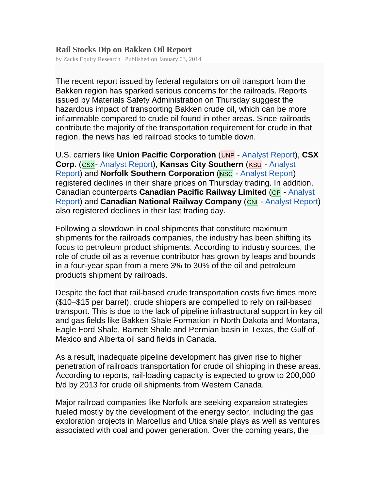## **Rail Stocks Dip on Bakken Oil Report**

by Zacks Equity Research Published on January 03, 2014

The recent report issued by federal regulators on oil transport from the Bakken region has sparked serious concerns for the railroads. Reports issued by Materials Safety Administration on Thursday suggest the hazardous impact of transporting Bakken crude oil, which can be more inflammable compared to crude oil found in other areas. Since railroads contribute the majority of the transportation requirement for crude in that region, the news has led railroad stocks to tumble down.

U.S. carriers like **Union Pacific Corporation** (UNP - Analyst Report), **CSX Corp.** (CSX- Analyst Report), **Kansas City Southern** (KSU - Analyst Report) and **Norfolk Southern Corporation** (NSC - Analyst Report) registered declines in their share prices on Thursday trading. In addition, Canadian counterparts **Canadian Pacific Railway Limited** (CP - Analyst **Report) and Canadian National Railway Company (CNI)** - Analyst Report) also registered declines in their last trading day.

Following a slowdown in coal shipments that constitute maximum shipments for the railroads companies, the industry has been shifting its focus to petroleum product shipments. According to industry sources, the role of crude oil as a revenue contributor has grown by leaps and bounds in a four-year span from a mere 3% to 30% of the oil and petroleum products shipment by railroads.

Despite the fact that rail-based crude transportation costs five times more (\$10–\$15 per barrel), crude shippers are compelled to rely on rail-based transport. This is due to the lack of pipeline infrastructural support in key oil and gas fields like Bakken Shale Formation in North Dakota and Montana, Eagle Ford Shale, Barnett Shale and Permian basin in Texas, the Gulf of Mexico and Alberta oil sand fields in Canada.

As a result, inadequate pipeline development has given rise to higher penetration of railroads transportation for crude oil shipping in these areas. According to reports, rail-loading capacity is expected to grow to 200,000 b/d by 2013 for crude oil shipments from Western Canada.

Major railroad companies like Norfolk are seeking expansion strategies fueled mostly by the development of the energy sector, including the gas exploration projects in Marcellus and Utica shale plays as well as ventures associated with coal and power generation. Over the coming years, the